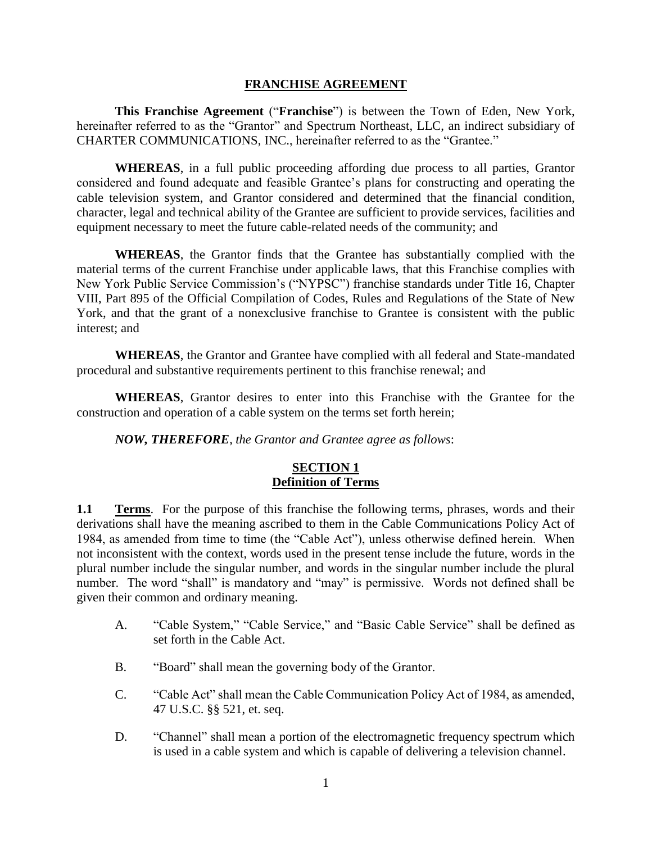#### **FRANCHISE AGREEMENT**

**This Franchise Agreement** ("**Franchise**") is between the Town of Eden, New York, hereinafter referred to as the "Grantor" and Spectrum Northeast, LLC, an indirect subsidiary of CHARTER COMMUNICATIONS, INC., hereinafter referred to as the "Grantee."

**WHEREAS**, in a full public proceeding affording due process to all parties, Grantor considered and found adequate and feasible Grantee's plans for constructing and operating the cable television system, and Grantor considered and determined that the financial condition, character, legal and technical ability of the Grantee are sufficient to provide services, facilities and equipment necessary to meet the future cable-related needs of the community; and

**WHEREAS**, the Grantor finds that the Grantee has substantially complied with the material terms of the current Franchise under applicable laws, that this Franchise complies with New York Public Service Commission's ("NYPSC") franchise standards under Title 16, Chapter VIII, Part 895 of the Official Compilation of Codes, Rules and Regulations of the State of New York, and that the grant of a nonexclusive franchise to Grantee is consistent with the public interest; and

**WHEREAS**, the Grantor and Grantee have complied with all federal and State-mandated procedural and substantive requirements pertinent to this franchise renewal; and

**WHEREAS**, Grantor desires to enter into this Franchise with the Grantee for the construction and operation of a cable system on the terms set forth herein;

*NOW, THEREFORE*, *the Grantor and Grantee agree as follows*:

#### **SECTION 1 Definition of Terms**

**1.1 Terms**. For the purpose of this franchise the following terms, phrases, words and their derivations shall have the meaning ascribed to them in the Cable Communications Policy Act of 1984, as amended from time to time (the "Cable Act"), unless otherwise defined herein. When not inconsistent with the context, words used in the present tense include the future, words in the plural number include the singular number, and words in the singular number include the plural number. The word "shall" is mandatory and "may" is permissive. Words not defined shall be given their common and ordinary meaning.

- A. "Cable System," "Cable Service," and "Basic Cable Service" shall be defined as set forth in the Cable Act.
- B. "Board" shall mean the governing body of the Grantor.
- C. "Cable Act" shall mean the Cable Communication Policy Act of 1984, as amended, 47 U.S.C. §§ 521, et. seq.
- D. "Channel" shall mean a portion of the electromagnetic frequency spectrum which is used in a cable system and which is capable of delivering a television channel.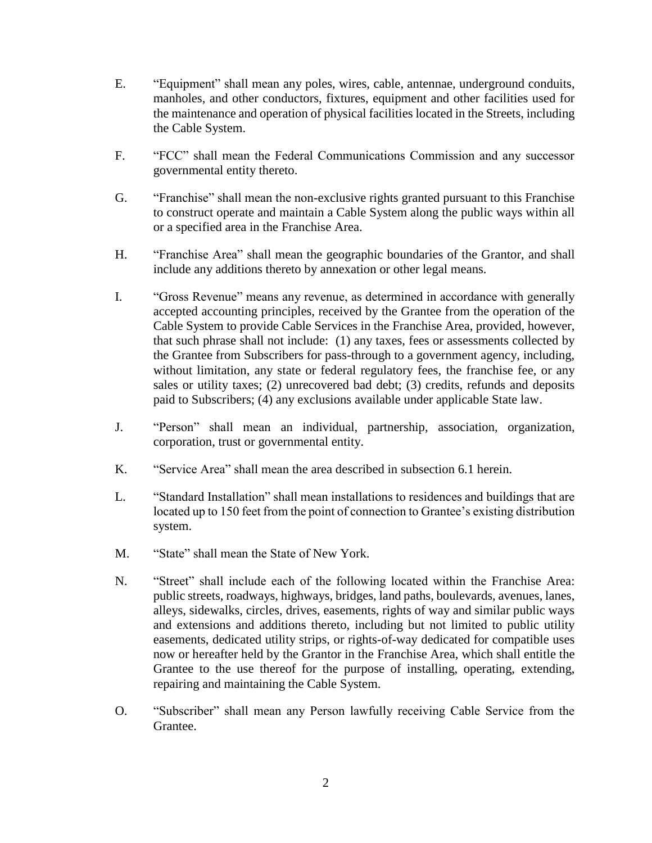- E. "Equipment" shall mean any poles, wires, cable, antennae, underground conduits, manholes, and other conductors, fixtures, equipment and other facilities used for the maintenance and operation of physical facilities located in the Streets, including the Cable System.
- F. "FCC" shall mean the Federal Communications Commission and any successor governmental entity thereto.
- G. "Franchise" shall mean the non-exclusive rights granted pursuant to this Franchise to construct operate and maintain a Cable System along the public ways within all or a specified area in the Franchise Area.
- H. "Franchise Area" shall mean the geographic boundaries of the Grantor, and shall include any additions thereto by annexation or other legal means.
- I. "Gross Revenue" means any revenue, as determined in accordance with generally accepted accounting principles, received by the Grantee from the operation of the Cable System to provide Cable Services in the Franchise Area, provided, however, that such phrase shall not include: (1) any taxes, fees or assessments collected by the Grantee from Subscribers for pass-through to a government agency, including, without limitation, any state or federal regulatory fees, the franchise fee, or any sales or utility taxes; (2) unrecovered bad debt; (3) credits, refunds and deposits paid to Subscribers; (4) any exclusions available under applicable State law.
- J. "Person" shall mean an individual, partnership, association, organization, corporation, trust or governmental entity.
- K. "Service Area" shall mean the area described in subsection 6.1 herein.
- L. "Standard Installation" shall mean installations to residences and buildings that are located up to 150 feet from the point of connection to Grantee's existing distribution system.
- M. "State" shall mean the State of New York.
- N. "Street" shall include each of the following located within the Franchise Area: public streets, roadways, highways, bridges, land paths, boulevards, avenues, lanes, alleys, sidewalks, circles, drives, easements, rights of way and similar public ways and extensions and additions thereto, including but not limited to public utility easements, dedicated utility strips, or rights-of-way dedicated for compatible uses now or hereafter held by the Grantor in the Franchise Area, which shall entitle the Grantee to the use thereof for the purpose of installing, operating, extending, repairing and maintaining the Cable System.
- O. "Subscriber" shall mean any Person lawfully receiving Cable Service from the Grantee.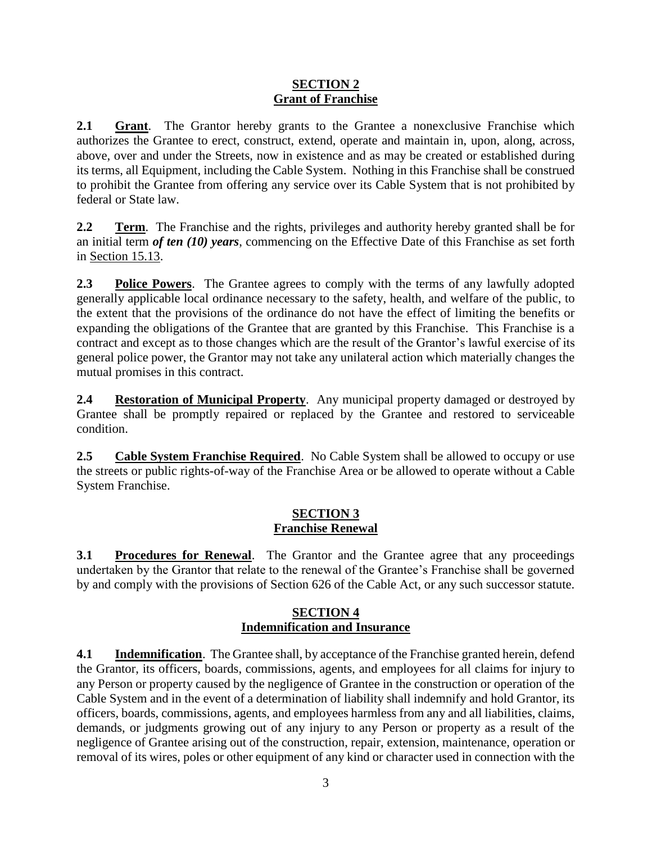#### **SECTION 2 Grant of Franchise**

**2.1 Grant**. The Grantor hereby grants to the Grantee a nonexclusive Franchise which authorizes the Grantee to erect, construct, extend, operate and maintain in, upon, along, across, above, over and under the Streets, now in existence and as may be created or established during its terms, all Equipment, including the Cable System. Nothing in this Franchise shall be construed to prohibit the Grantee from offering any service over its Cable System that is not prohibited by federal or State law.

**2.2 Term**. The Franchise and the rights, privileges and authority hereby granted shall be for an initial term *of ten (10) years*, commencing on the Effective Date of this Franchise as set forth in Section 15.13.

**2.3 Police Powers**. The Grantee agrees to comply with the terms of any lawfully adopted generally applicable local ordinance necessary to the safety, health, and welfare of the public, to the extent that the provisions of the ordinance do not have the effect of limiting the benefits or expanding the obligations of the Grantee that are granted by this Franchise. This Franchise is a contract and except as to those changes which are the result of the Grantor's lawful exercise of its general police power, the Grantor may not take any unilateral action which materially changes the mutual promises in this contract.

**2.4 Restoration of Municipal Property**. Any municipal property damaged or destroyed by Grantee shall be promptly repaired or replaced by the Grantee and restored to serviceable condition.

**2.5 Cable System Franchise Required**. No Cable System shall be allowed to occupy or use the streets or public rights-of-way of the Franchise Area or be allowed to operate without a Cable System Franchise.

### **SECTION 3 Franchise Renewal**

**3.1 Procedures for Renewal**. The Grantor and the Grantee agree that any proceedings undertaken by the Grantor that relate to the renewal of the Grantee's Franchise shall be governed by and comply with the provisions of Section 626 of the Cable Act, or any such successor statute.

# **SECTION 4 Indemnification and Insurance**

**4.1 Indemnification**. The Grantee shall, by acceptance of the Franchise granted herein, defend the Grantor, its officers, boards, commissions, agents, and employees for all claims for injury to any Person or property caused by the negligence of Grantee in the construction or operation of the Cable System and in the event of a determination of liability shall indemnify and hold Grantor, its officers, boards, commissions, agents, and employees harmless from any and all liabilities, claims, demands, or judgments growing out of any injury to any Person or property as a result of the negligence of Grantee arising out of the construction, repair, extension, maintenance, operation or removal of its wires, poles or other equipment of any kind or character used in connection with the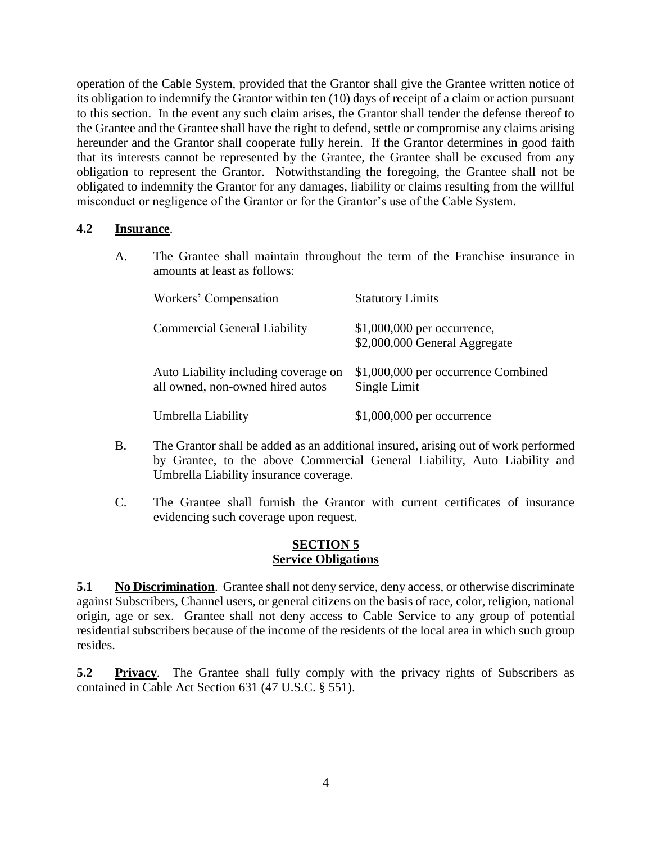operation of the Cable System, provided that the Grantor shall give the Grantee written notice of its obligation to indemnify the Grantor within ten (10) days of receipt of a claim or action pursuant to this section. In the event any such claim arises, the Grantor shall tender the defense thereof to the Grantee and the Grantee shall have the right to defend, settle or compromise any claims arising hereunder and the Grantor shall cooperate fully herein. If the Grantor determines in good faith that its interests cannot be represented by the Grantee, the Grantee shall be excused from any obligation to represent the Grantor. Notwithstanding the foregoing, the Grantee shall not be obligated to indemnify the Grantor for any damages, liability or claims resulting from the willful misconduct or negligence of the Grantor or for the Grantor's use of the Cable System.

#### **4.2 Insurance**.

A. The Grantee shall maintain throughout the term of the Franchise insurance in amounts at least as follows:

| Workers' Compensation                                                    | <b>Statutory Limits</b>                                       |
|--------------------------------------------------------------------------|---------------------------------------------------------------|
| <b>Commercial General Liability</b>                                      | $$1,000,000$ per occurrence,<br>\$2,000,000 General Aggregate |
| Auto Liability including coverage on<br>all owned, non-owned hired autos | \$1,000,000 per occurrence Combined<br>Single Limit           |
| Umbrella Liability                                                       | \$1,000,000 per occurrence                                    |

- B. The Grantor shall be added as an additional insured, arising out of work performed by Grantee, to the above Commercial General Liability, Auto Liability and Umbrella Liability insurance coverage.
- C. The Grantee shall furnish the Grantor with current certificates of insurance evidencing such coverage upon request.

#### **SECTION 5 Service Obligations**

**5.1 No Discrimination**. Grantee shall not deny service, deny access, or otherwise discriminate against Subscribers, Channel users, or general citizens on the basis of race, color, religion, national origin, age or sex. Grantee shall not deny access to Cable Service to any group of potential residential subscribers because of the income of the residents of the local area in which such group resides.

**5.2 Privacy**. The Grantee shall fully comply with the privacy rights of Subscribers as contained in Cable Act Section 631 (47 U.S.C. § 551).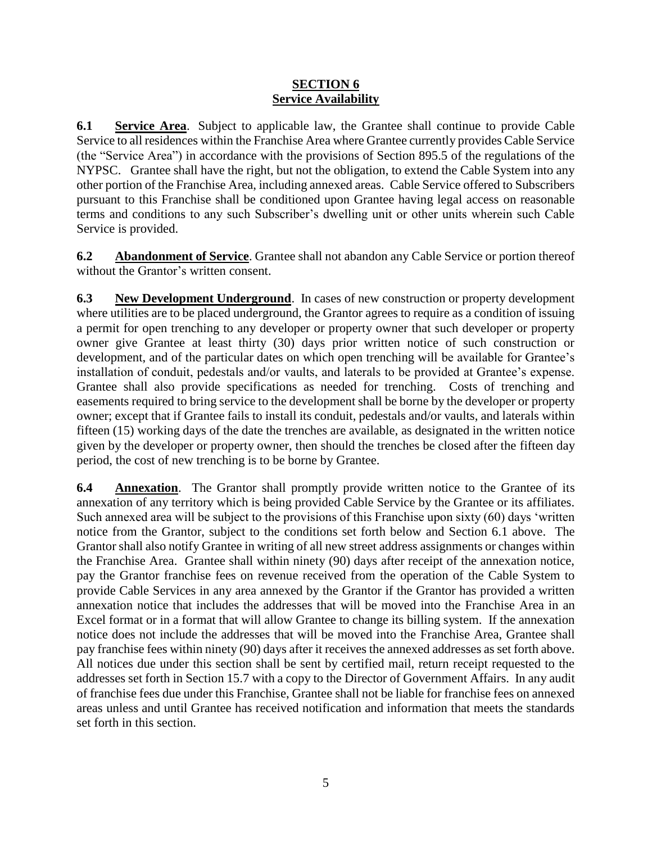#### **SECTION 6 Service Availability**

**6.1 Service Area**. Subject to applicable law, the Grantee shall continue to provide Cable Service to all residences within the Franchise Area where Grantee currently provides Cable Service (the "Service Area") in accordance with the provisions of Section 895.5 of the regulations of the NYPSC. Grantee shall have the right, but not the obligation, to extend the Cable System into any other portion of the Franchise Area, including annexed areas. Cable Service offered to Subscribers pursuant to this Franchise shall be conditioned upon Grantee having legal access on reasonable terms and conditions to any such Subscriber's dwelling unit or other units wherein such Cable Service is provided.

**6.2 Abandonment of Service**. Grantee shall not abandon any Cable Service or portion thereof without the Grantor's written consent.

**6.3 New Development Underground**. In cases of new construction or property development where utilities are to be placed underground, the Grantor agrees to require as a condition of issuing a permit for open trenching to any developer or property owner that such developer or property owner give Grantee at least thirty (30) days prior written notice of such construction or development, and of the particular dates on which open trenching will be available for Grantee's installation of conduit, pedestals and/or vaults, and laterals to be provided at Grantee's expense. Grantee shall also provide specifications as needed for trenching. Costs of trenching and easements required to bring service to the development shall be borne by the developer or property owner; except that if Grantee fails to install its conduit, pedestals and/or vaults, and laterals within fifteen (15) working days of the date the trenches are available, as designated in the written notice given by the developer or property owner, then should the trenches be closed after the fifteen day period, the cost of new trenching is to be borne by Grantee.

**6.4 Annexation**. The Grantor shall promptly provide written notice to the Grantee of its annexation of any territory which is being provided Cable Service by the Grantee or its affiliates. Such annexed area will be subject to the provisions of this Franchise upon sixty (60) days 'written notice from the Grantor, subject to the conditions set forth below and Section 6.1 above. The Grantor shall also notify Grantee in writing of all new street address assignments or changes within the Franchise Area. Grantee shall within ninety (90) days after receipt of the annexation notice, pay the Grantor franchise fees on revenue received from the operation of the Cable System to provide Cable Services in any area annexed by the Grantor if the Grantor has provided a written annexation notice that includes the addresses that will be moved into the Franchise Area in an Excel format or in a format that will allow Grantee to change its billing system. If the annexation notice does not include the addresses that will be moved into the Franchise Area, Grantee shall pay franchise fees within ninety (90) days after it receives the annexed addresses as set forth above. All notices due under this section shall be sent by certified mail, return receipt requested to the addresses set forth in Section 15.7 with a copy to the Director of Government Affairs. In any audit of franchise fees due under this Franchise, Grantee shall not be liable for franchise fees on annexed areas unless and until Grantee has received notification and information that meets the standards set forth in this section.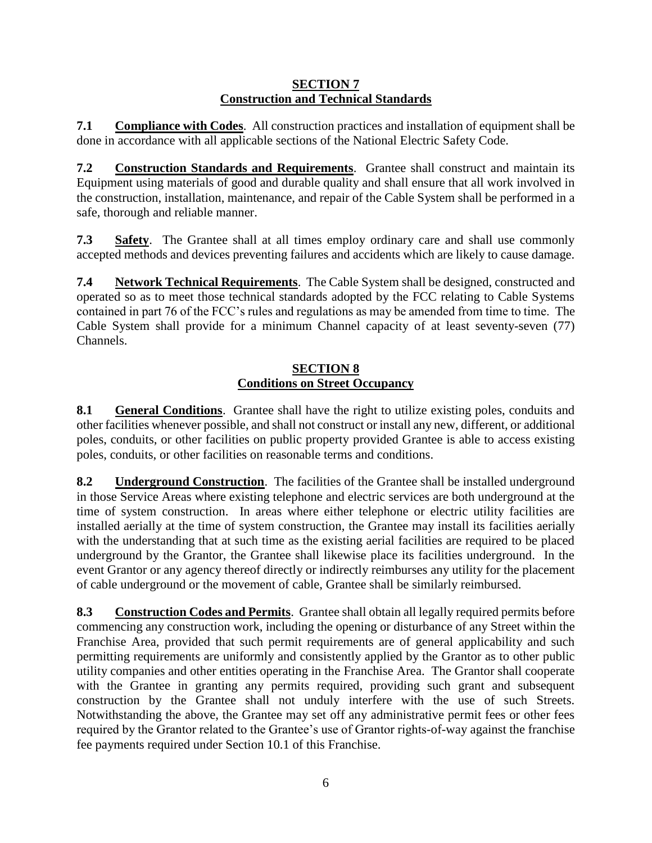### **SECTION 7 Construction and Technical Standards**

**7.1 Compliance with Codes**. All construction practices and installation of equipment shall be done in accordance with all applicable sections of the National Electric Safety Code.

**7.2 Construction Standards and Requirements**. Grantee shall construct and maintain its Equipment using materials of good and durable quality and shall ensure that all work involved in the construction, installation, maintenance, and repair of the Cable System shall be performed in a safe, thorough and reliable manner.

**7.3 Safety**. The Grantee shall at all times employ ordinary care and shall use commonly accepted methods and devices preventing failures and accidents which are likely to cause damage.

**7.4 Network Technical Requirements**. The Cable System shall be designed, constructed and operated so as to meet those technical standards adopted by the FCC relating to Cable Systems contained in part 76 of the FCC's rules and regulations as may be amended from time to time. The Cable System shall provide for a minimum Channel capacity of at least seventy-seven (77) Channels.

## **SECTION 8 Conditions on Street Occupancy**

**8.1 General Conditions**. Grantee shall have the right to utilize existing poles, conduits and other facilities whenever possible, and shall not construct or install any new, different, or additional poles, conduits, or other facilities on public property provided Grantee is able to access existing poles, conduits, or other facilities on reasonable terms and conditions.

**8.2 Underground Construction**. The facilities of the Grantee shall be installed underground in those Service Areas where existing telephone and electric services are both underground at the time of system construction. In areas where either telephone or electric utility facilities are installed aerially at the time of system construction, the Grantee may install its facilities aerially with the understanding that at such time as the existing aerial facilities are required to be placed underground by the Grantor, the Grantee shall likewise place its facilities underground. In the event Grantor or any agency thereof directly or indirectly reimburses any utility for the placement of cable underground or the movement of cable, Grantee shall be similarly reimbursed.

**8.3 Construction Codes and Permits**. Grantee shall obtain all legally required permits before commencing any construction work, including the opening or disturbance of any Street within the Franchise Area, provided that such permit requirements are of general applicability and such permitting requirements are uniformly and consistently applied by the Grantor as to other public utility companies and other entities operating in the Franchise Area. The Grantor shall cooperate with the Grantee in granting any permits required, providing such grant and subsequent construction by the Grantee shall not unduly interfere with the use of such Streets. Notwithstanding the above, the Grantee may set off any administrative permit fees or other fees required by the Grantor related to the Grantee's use of Grantor rights-of-way against the franchise fee payments required under Section 10.1 of this Franchise.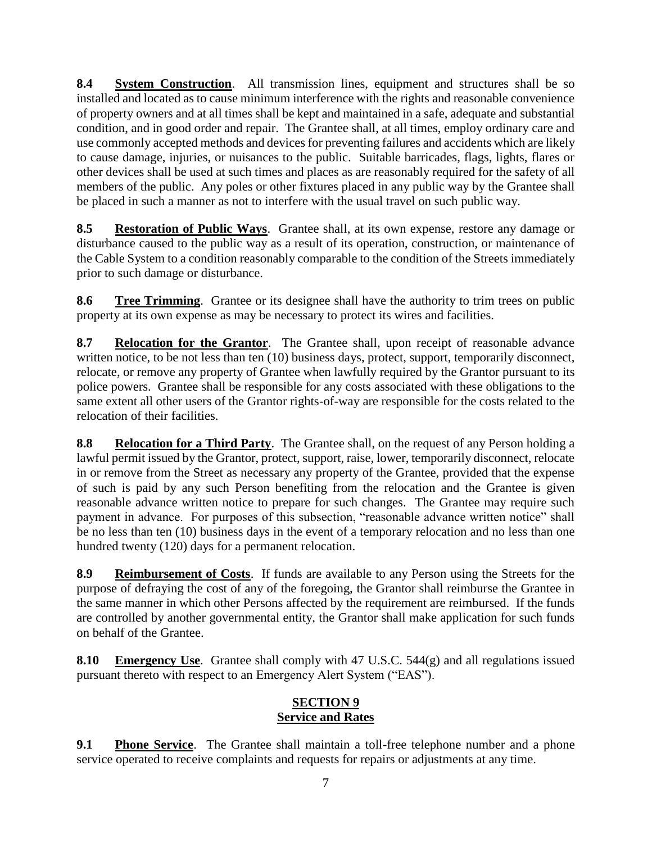**8.4 System Construction**. All transmission lines, equipment and structures shall be so installed and located as to cause minimum interference with the rights and reasonable convenience of property owners and at all times shall be kept and maintained in a safe, adequate and substantial condition, and in good order and repair. The Grantee shall, at all times, employ ordinary care and use commonly accepted methods and devices for preventing failures and accidents which are likely to cause damage, injuries, or nuisances to the public. Suitable barricades, flags, lights, flares or other devices shall be used at such times and places as are reasonably required for the safety of all members of the public. Any poles or other fixtures placed in any public way by the Grantee shall be placed in such a manner as not to interfere with the usual travel on such public way.

**8.5 Restoration of Public Ways**. Grantee shall, at its own expense, restore any damage or disturbance caused to the public way as a result of its operation, construction, or maintenance of the Cable System to a condition reasonably comparable to the condition of the Streets immediately prior to such damage or disturbance.

**8.6 Tree Trimming**. Grantee or its designee shall have the authority to trim trees on public property at its own expense as may be necessary to protect its wires and facilities.

**8.7 Relocation for the Grantor**. The Grantee shall, upon receipt of reasonable advance written notice, to be not less than ten (10) business days, protect, support, temporarily disconnect, relocate, or remove any property of Grantee when lawfully required by the Grantor pursuant to its police powers. Grantee shall be responsible for any costs associated with these obligations to the same extent all other users of the Grantor rights-of-way are responsible for the costs related to the relocation of their facilities.

**8.8 Relocation for a Third Party**. The Grantee shall, on the request of any Person holding a lawful permit issued by the Grantor, protect, support, raise, lower, temporarily disconnect, relocate in or remove from the Street as necessary any property of the Grantee, provided that the expense of such is paid by any such Person benefiting from the relocation and the Grantee is given reasonable advance written notice to prepare for such changes. The Grantee may require such payment in advance. For purposes of this subsection, "reasonable advance written notice" shall be no less than ten (10) business days in the event of a temporary relocation and no less than one hundred twenty (120) days for a permanent relocation.

**8.9 Reimbursement of Costs**. If funds are available to any Person using the Streets for the purpose of defraying the cost of any of the foregoing, the Grantor shall reimburse the Grantee in the same manner in which other Persons affected by the requirement are reimbursed. If the funds are controlled by another governmental entity, the Grantor shall make application for such funds on behalf of the Grantee.

**8.10 Emergency Use**. Grantee shall comply with 47 U.S.C. 544(g) and all regulations issued pursuant thereto with respect to an Emergency Alert System ("EAS").

# **SECTION 9 Service and Rates**

**9.1 Phone Service**. The Grantee shall maintain a toll-free telephone number and a phone service operated to receive complaints and requests for repairs or adjustments at any time.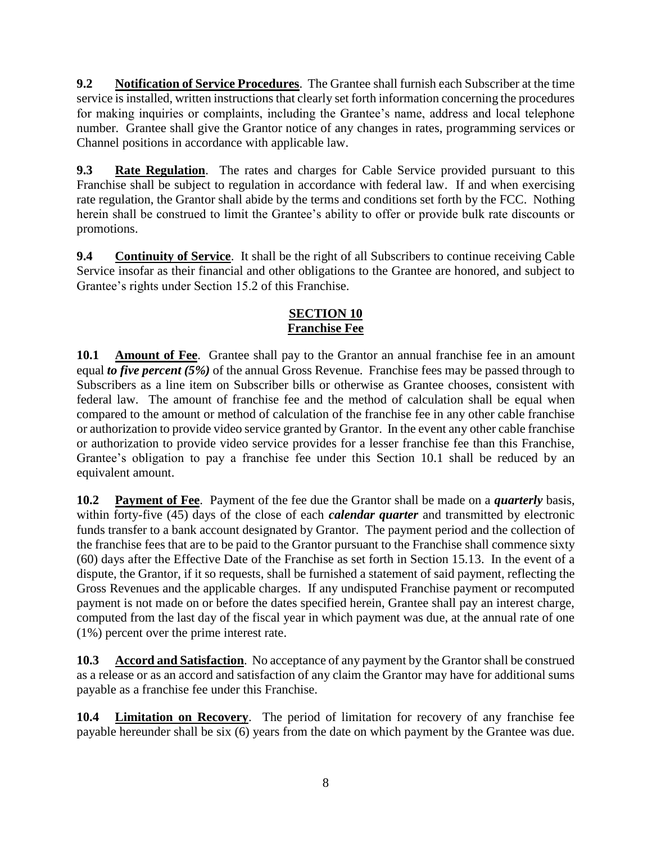**9.2 Notification of Service Procedures**. The Grantee shall furnish each Subscriber at the time service is installed, written instructions that clearly set forth information concerning the procedures for making inquiries or complaints, including the Grantee's name, address and local telephone number. Grantee shall give the Grantor notice of any changes in rates, programming services or Channel positions in accordance with applicable law.

**9.3 Rate Regulation**. The rates and charges for Cable Service provided pursuant to this Franchise shall be subject to regulation in accordance with federal law. If and when exercising rate regulation, the Grantor shall abide by the terms and conditions set forth by the FCC. Nothing herein shall be construed to limit the Grantee's ability to offer or provide bulk rate discounts or promotions.

**9.4 Continuity of Service**. It shall be the right of all Subscribers to continue receiving Cable Service insofar as their financial and other obligations to the Grantee are honored, and subject to Grantee's rights under Section 15.2 of this Franchise.

# **SECTION 10 Franchise Fee**

**10.1 Amount of Fee**. Grantee shall pay to the Grantor an annual franchise fee in an amount equal *to five percent (5%)* of the annual Gross Revenue. Franchise fees may be passed through to Subscribers as a line item on Subscriber bills or otherwise as Grantee chooses, consistent with federal law. The amount of franchise fee and the method of calculation shall be equal when compared to the amount or method of calculation of the franchise fee in any other cable franchise or authorization to provide video service granted by Grantor. In the event any other cable franchise or authorization to provide video service provides for a lesser franchise fee than this Franchise, Grantee's obligation to pay a franchise fee under this Section 10.1 shall be reduced by an equivalent amount.

**10.2 Payment of Fee**. Payment of the fee due the Grantor shall be made on a *quarterly* basis, within forty-five (45) days of the close of each *calendar quarter* and transmitted by electronic funds transfer to a bank account designated by Grantor. The payment period and the collection of the franchise fees that are to be paid to the Grantor pursuant to the Franchise shall commence sixty (60) days after the Effective Date of the Franchise as set forth in Section 15.13. In the event of a dispute, the Grantor, if it so requests, shall be furnished a statement of said payment, reflecting the Gross Revenues and the applicable charges. If any undisputed Franchise payment or recomputed payment is not made on or before the dates specified herein, Grantee shall pay an interest charge, computed from the last day of the fiscal year in which payment was due, at the annual rate of one (1%) percent over the prime interest rate.

**10.3 Accord and Satisfaction**. No acceptance of any payment by the Grantor shall be construed as a release or as an accord and satisfaction of any claim the Grantor may have for additional sums payable as a franchise fee under this Franchise.

**10.4 Limitation on Recovery**. The period of limitation for recovery of any franchise fee payable hereunder shall be six (6) years from the date on which payment by the Grantee was due.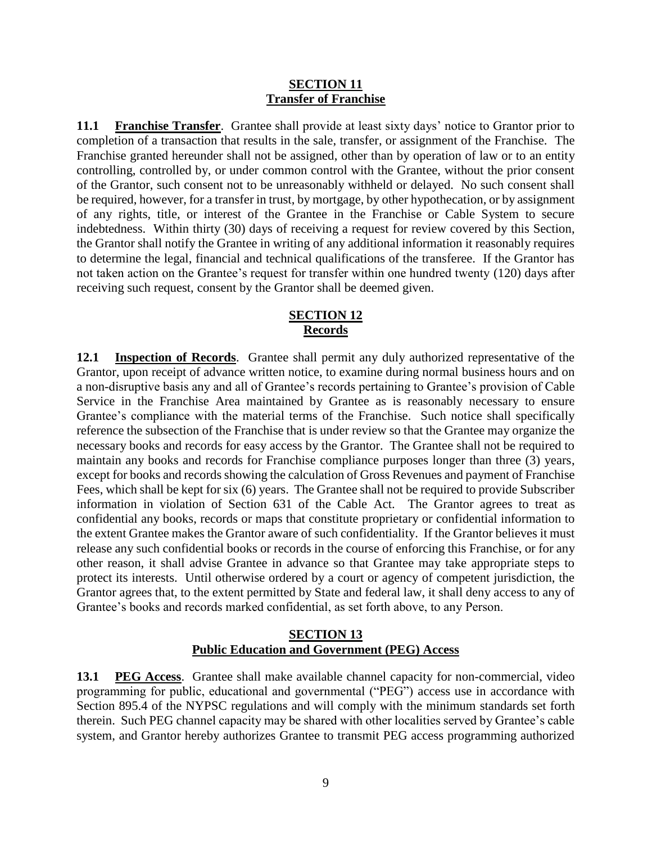#### **SECTION 11 Transfer of Franchise**

**11.1 Franchise Transfer**. Grantee shall provide at least sixty days' notice to Grantor prior to completion of a transaction that results in the sale, transfer, or assignment of the Franchise. The Franchise granted hereunder shall not be assigned, other than by operation of law or to an entity controlling, controlled by, or under common control with the Grantee, without the prior consent of the Grantor, such consent not to be unreasonably withheld or delayed. No such consent shall be required, however, for a transfer in trust, by mortgage, by other hypothecation, or by assignment of any rights, title, or interest of the Grantee in the Franchise or Cable System to secure indebtedness. Within thirty (30) days of receiving a request for review covered by this Section, the Grantor shall notify the Grantee in writing of any additional information it reasonably requires to determine the legal, financial and technical qualifications of the transferee. If the Grantor has not taken action on the Grantee's request for transfer within one hundred twenty (120) days after receiving such request, consent by the Grantor shall be deemed given.

## **SECTION 12 Records**

**12.1 Inspection of Records**. Grantee shall permit any duly authorized representative of the Grantor, upon receipt of advance written notice, to examine during normal business hours and on a non-disruptive basis any and all of Grantee's records pertaining to Grantee's provision of Cable Service in the Franchise Area maintained by Grantee as is reasonably necessary to ensure Grantee's compliance with the material terms of the Franchise. Such notice shall specifically reference the subsection of the Franchise that is under review so that the Grantee may organize the necessary books and records for easy access by the Grantor. The Grantee shall not be required to maintain any books and records for Franchise compliance purposes longer than three (3) years, except for books and records showing the calculation of Gross Revenues and payment of Franchise Fees, which shall be kept for six (6) years. The Grantee shall not be required to provide Subscriber information in violation of Section 631 of the Cable Act. The Grantor agrees to treat as confidential any books, records or maps that constitute proprietary or confidential information to the extent Grantee makes the Grantor aware of such confidentiality. If the Grantor believes it must release any such confidential books or records in the course of enforcing this Franchise, or for any other reason, it shall advise Grantee in advance so that Grantee may take appropriate steps to protect its interests. Until otherwise ordered by a court or agency of competent jurisdiction, the Grantor agrees that, to the extent permitted by State and federal law, it shall deny access to any of Grantee's books and records marked confidential, as set forth above, to any Person.

### **SECTION 13 Public Education and Government (PEG) Access**

**13.1 PEG Access**. Grantee shall make available channel capacity for non-commercial, video programming for public, educational and governmental ("PEG") access use in accordance with Section 895.4 of the NYPSC regulations and will comply with the minimum standards set forth therein. Such PEG channel capacity may be shared with other localities served by Grantee's cable system, and Grantor hereby authorizes Grantee to transmit PEG access programming authorized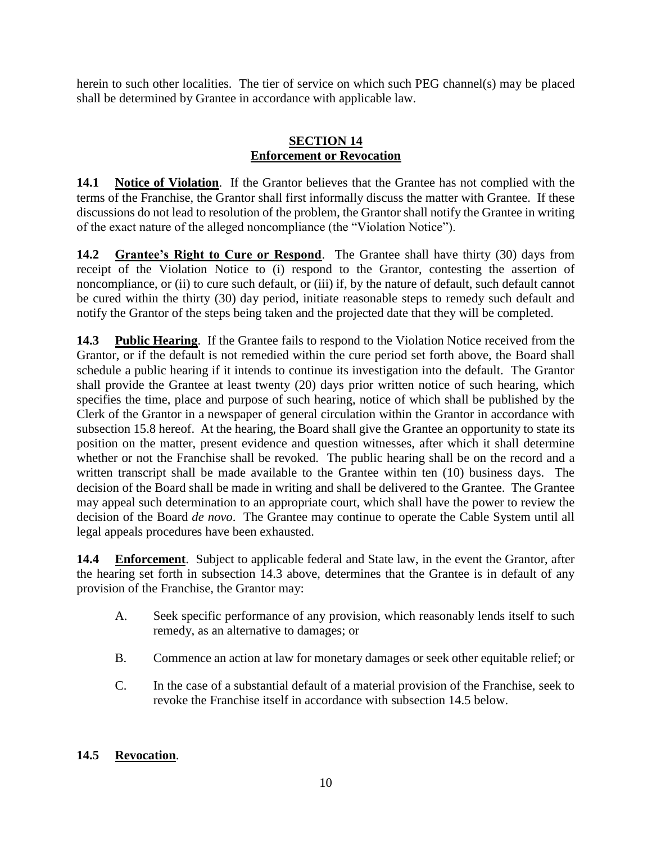herein to such other localities. The tier of service on which such PEG channel(s) may be placed shall be determined by Grantee in accordance with applicable law.

### **SECTION 14 Enforcement or Revocation**

**14.1 Notice of Violation**. If the Grantor believes that the Grantee has not complied with the terms of the Franchise, the Grantor shall first informally discuss the matter with Grantee. If these discussions do not lead to resolution of the problem, the Grantor shall notify the Grantee in writing of the exact nature of the alleged noncompliance (the "Violation Notice").

**14.2 Grantee's Right to Cure or Respond**. The Grantee shall have thirty (30) days from receipt of the Violation Notice to (i) respond to the Grantor, contesting the assertion of noncompliance, or (ii) to cure such default, or (iii) if, by the nature of default, such default cannot be cured within the thirty (30) day period, initiate reasonable steps to remedy such default and notify the Grantor of the steps being taken and the projected date that they will be completed.

**14.3 Public Hearing**. If the Grantee fails to respond to the Violation Notice received from the Grantor, or if the default is not remedied within the cure period set forth above, the Board shall schedule a public hearing if it intends to continue its investigation into the default. The Grantor shall provide the Grantee at least twenty (20) days prior written notice of such hearing, which specifies the time, place and purpose of such hearing, notice of which shall be published by the Clerk of the Grantor in a newspaper of general circulation within the Grantor in accordance with subsection 15.8 hereof. At the hearing, the Board shall give the Grantee an opportunity to state its position on the matter, present evidence and question witnesses, after which it shall determine whether or not the Franchise shall be revoked. The public hearing shall be on the record and a written transcript shall be made available to the Grantee within ten (10) business days. The decision of the Board shall be made in writing and shall be delivered to the Grantee. The Grantee may appeal such determination to an appropriate court, which shall have the power to review the decision of the Board *de novo*. The Grantee may continue to operate the Cable System until all legal appeals procedures have been exhausted.

**14.4 Enforcement**. Subject to applicable federal and State law, in the event the Grantor, after the hearing set forth in subsection 14.3 above, determines that the Grantee is in default of any provision of the Franchise, the Grantor may:

- A. Seek specific performance of any provision, which reasonably lends itself to such remedy, as an alternative to damages; or
- B. Commence an action at law for monetary damages or seek other equitable relief; or
- C. In the case of a substantial default of a material provision of the Franchise, seek to revoke the Franchise itself in accordance with subsection 14.5 below.

### **14.5 Revocation**.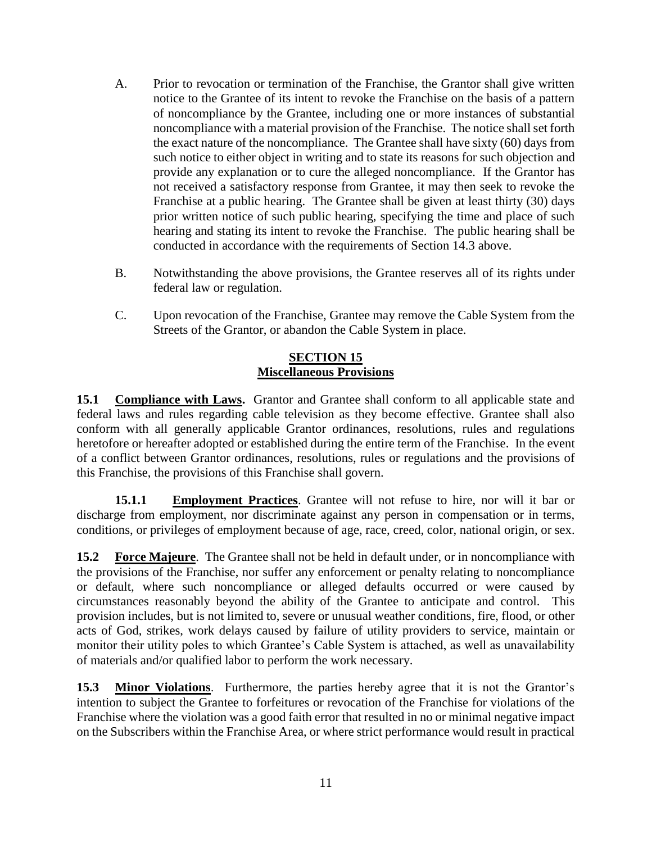- A. Prior to revocation or termination of the Franchise, the Grantor shall give written notice to the Grantee of its intent to revoke the Franchise on the basis of a pattern of noncompliance by the Grantee, including one or more instances of substantial noncompliance with a material provision of the Franchise. The notice shall set forth the exact nature of the noncompliance. The Grantee shall have sixty (60) days from such notice to either object in writing and to state its reasons for such objection and provide any explanation or to cure the alleged noncompliance. If the Grantor has not received a satisfactory response from Grantee, it may then seek to revoke the Franchise at a public hearing. The Grantee shall be given at least thirty (30) days prior written notice of such public hearing, specifying the time and place of such hearing and stating its intent to revoke the Franchise. The public hearing shall be conducted in accordance with the requirements of Section 14.3 above.
- B. Notwithstanding the above provisions, the Grantee reserves all of its rights under federal law or regulation.
- C. Upon revocation of the Franchise, Grantee may remove the Cable System from the Streets of the Grantor, or abandon the Cable System in place.

### **SECTION 15 Miscellaneous Provisions**

**15.1 Compliance with Laws.** Grantor and Grantee shall conform to all applicable state and federal laws and rules regarding cable television as they become effective. Grantee shall also conform with all generally applicable Grantor ordinances, resolutions, rules and regulations heretofore or hereafter adopted or established during the entire term of the Franchise. In the event of a conflict between Grantor ordinances, resolutions, rules or regulations and the provisions of this Franchise, the provisions of this Franchise shall govern.

**15.1.1 Employment Practices**. Grantee will not refuse to hire, nor will it bar or discharge from employment, nor discriminate against any person in compensation or in terms, conditions, or privileges of employment because of age, race, creed, color, national origin, or sex.

**15.2 Force Majeure**. The Grantee shall not be held in default under, or in noncompliance with the provisions of the Franchise, nor suffer any enforcement or penalty relating to noncompliance or default, where such noncompliance or alleged defaults occurred or were caused by circumstances reasonably beyond the ability of the Grantee to anticipate and control. This provision includes, but is not limited to, severe or unusual weather conditions, fire, flood, or other acts of God, strikes, work delays caused by failure of utility providers to service, maintain or monitor their utility poles to which Grantee's Cable System is attached, as well as unavailability of materials and/or qualified labor to perform the work necessary.

**15.3 Minor Violations**. Furthermore, the parties hereby agree that it is not the Grantor's intention to subject the Grantee to forfeitures or revocation of the Franchise for violations of the Franchise where the violation was a good faith error that resulted in no or minimal negative impact on the Subscribers within the Franchise Area, or where strict performance would result in practical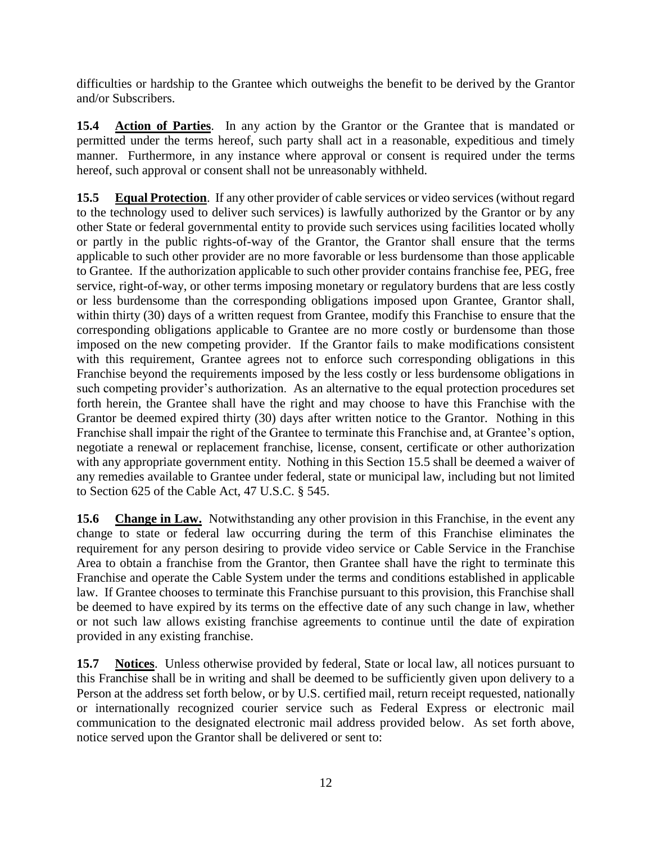difficulties or hardship to the Grantee which outweighs the benefit to be derived by the Grantor and/or Subscribers.

**15.4 Action of Parties**. In any action by the Grantor or the Grantee that is mandated or permitted under the terms hereof, such party shall act in a reasonable, expeditious and timely manner. Furthermore, in any instance where approval or consent is required under the terms hereof, such approval or consent shall not be unreasonably withheld.

**15.5 Equal Protection**. If any other provider of cable services or video services (without regard to the technology used to deliver such services) is lawfully authorized by the Grantor or by any other State or federal governmental entity to provide such services using facilities located wholly or partly in the public rights-of-way of the Grantor, the Grantor shall ensure that the terms applicable to such other provider are no more favorable or less burdensome than those applicable to Grantee. If the authorization applicable to such other provider contains franchise fee, PEG, free service, right-of-way, or other terms imposing monetary or regulatory burdens that are less costly or less burdensome than the corresponding obligations imposed upon Grantee, Grantor shall, within thirty (30) days of a written request from Grantee, modify this Franchise to ensure that the corresponding obligations applicable to Grantee are no more costly or burdensome than those imposed on the new competing provider. If the Grantor fails to make modifications consistent with this requirement, Grantee agrees not to enforce such corresponding obligations in this Franchise beyond the requirements imposed by the less costly or less burdensome obligations in such competing provider's authorization. As an alternative to the equal protection procedures set forth herein, the Grantee shall have the right and may choose to have this Franchise with the Grantor be deemed expired thirty (30) days after written notice to the Grantor. Nothing in this Franchise shall impair the right of the Grantee to terminate this Franchise and, at Grantee's option, negotiate a renewal or replacement franchise, license, consent, certificate or other authorization with any appropriate government entity. Nothing in this Section 15.5 shall be deemed a waiver of any remedies available to Grantee under federal, state or municipal law, including but not limited to Section 625 of the Cable Act, 47 U.S.C. § 545.

**15.6 Change in Law.** Notwithstanding any other provision in this Franchise, in the event any change to state or federal law occurring during the term of this Franchise eliminates the requirement for any person desiring to provide video service or Cable Service in the Franchise Area to obtain a franchise from the Grantor, then Grantee shall have the right to terminate this Franchise and operate the Cable System under the terms and conditions established in applicable law. If Grantee chooses to terminate this Franchise pursuant to this provision, this Franchise shall be deemed to have expired by its terms on the effective date of any such change in law, whether or not such law allows existing franchise agreements to continue until the date of expiration provided in any existing franchise.

**15.7 Notices**. Unless otherwise provided by federal, State or local law, all notices pursuant to this Franchise shall be in writing and shall be deemed to be sufficiently given upon delivery to a Person at the address set forth below, or by U.S. certified mail, return receipt requested, nationally or internationally recognized courier service such as Federal Express or electronic mail communication to the designated electronic mail address provided below. As set forth above, notice served upon the Grantor shall be delivered or sent to: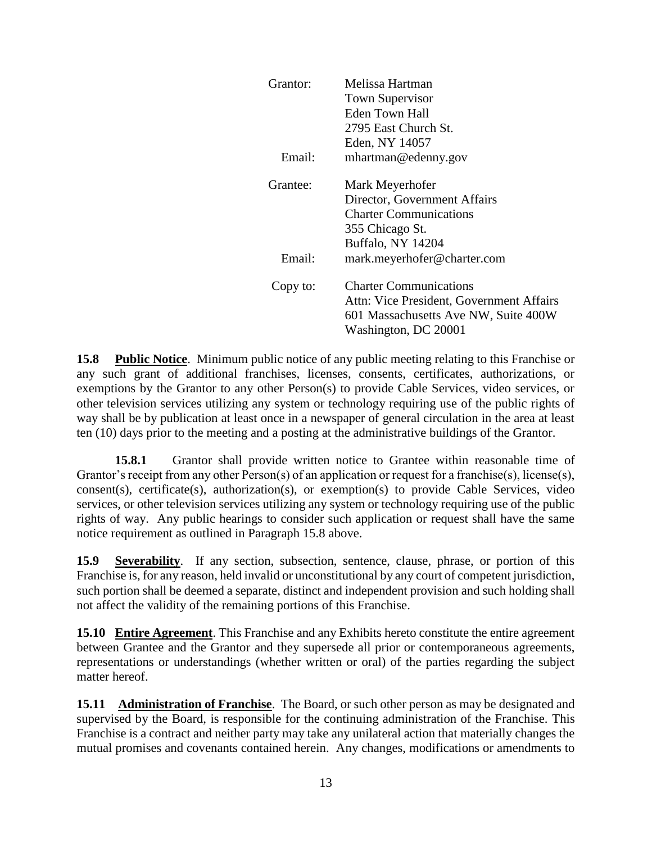| Grantor: | Melissa Hartman                          |
|----------|------------------------------------------|
|          | <b>Town Supervisor</b>                   |
|          | <b>Eden Town Hall</b>                    |
|          | 2795 East Church St.                     |
|          | Eden, NY 14057                           |
| Email:   | mhartman@edenny.gov                      |
| Grantee: | Mark Meyerhofer                          |
|          | Director, Government Affairs             |
|          | <b>Charter Communications</b>            |
|          | 355 Chicago St.                          |
|          | Buffalo, NY 14204                        |
| Email:   | mark.meyerhofer@charter.com              |
| Copy to: | <b>Charter Communications</b>            |
|          | Attn: Vice President, Government Affairs |
|          | 601 Massachusetts Ave NW, Suite 400W     |
|          | Washington, DC 20001                     |
|          |                                          |

**15.8 Public Notice**. Minimum public notice of any public meeting relating to this Franchise or any such grant of additional franchises, licenses, consents, certificates, authorizations, or exemptions by the Grantor to any other Person(s) to provide Cable Services, video services, or other television services utilizing any system or technology requiring use of the public rights of way shall be by publication at least once in a newspaper of general circulation in the area at least ten (10) days prior to the meeting and a posting at the administrative buildings of the Grantor.

**15.8.1** Grantor shall provide written notice to Grantee within reasonable time of Grantor's receipt from any other Person(s) of an application or request for a franchise(s), license(s), consent(s), certificate(s), authorization(s), or exemption(s) to provide Cable Services, video services, or other television services utilizing any system or technology requiring use of the public rights of way. Any public hearings to consider such application or request shall have the same notice requirement as outlined in Paragraph 15.8 above.

**15.9 Severability**. If any section, subsection, sentence, clause, phrase, or portion of this Franchise is, for any reason, held invalid or unconstitutional by any court of competent jurisdiction, such portion shall be deemed a separate, distinct and independent provision and such holding shall not affect the validity of the remaining portions of this Franchise.

**15.10 Entire Agreement**. This Franchise and any Exhibits hereto constitute the entire agreement between Grantee and the Grantor and they supersede all prior or contemporaneous agreements, representations or understandings (whether written or oral) of the parties regarding the subject matter hereof.

**15.11 Administration of Franchise**. The Board, or such other person as may be designated and supervised by the Board, is responsible for the continuing administration of the Franchise. This Franchise is a contract and neither party may take any unilateral action that materially changes the mutual promises and covenants contained herein. Any changes, modifications or amendments to